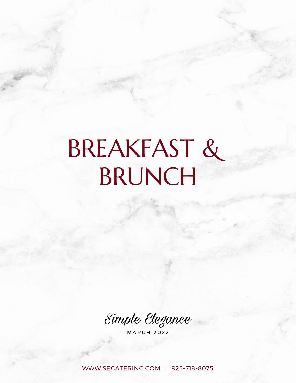# BREAKFAST & BRUNCH

Simple Elegance

**MARCH 2022** 

[WWW.SECATERING.COM](http://www.secatering.com/) | 925-718-8075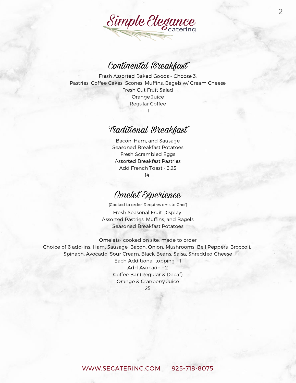

#### Continental Breakfast

Fresh Assorted Baked Goods - Choose 3: Pastries, Coffee Cakes, Scones, Muffins, Bagels w/ Cream Cheese Fresh Cut Fruit Salad Orange Juice Regular Coffee 11

#### Traditional Breakfast

Bacon, Ham, and Sausage Seasoned Breakfast Potatoes Fresh Scrambled Eggs Assorted Breakfast Pastries Add French Toast - 3.25 14

#### Omelet Experience

(Cooked to order! Requires on-site Chef)

Fresh Seasonal Fruit Display Assorted Pastries, Muffins, and Bagels Seasoned Breakfast Potatoes

Omelets- cooked on site, made to order Choice of 6 add-ins: Ham, Sausage, Bacon, Onion, Mushrooms, Bell Peppers, Broccoli, Spinach, Avocado, Sour Cream, Black Beans, Salsa, Shredded Cheese Each Additional topping - 1 Add Avocado - 2 Coffee Bar (Regular & Decaf) Orange & Cranberry Juice

25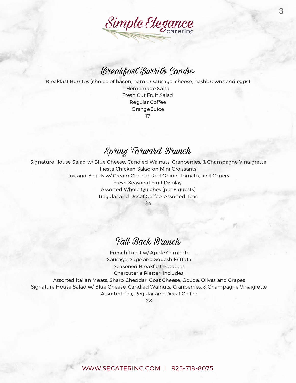

#### Breakfast Burrito Combo

Breakfast Burritos (choice of bacon, ham or sausage, cheese, hashbrowns and eggs) Homemade Salsa

> Fresh Cut Fruit Salad Regular Coffee Orange Juice 17

#### Spring Forward Brunch

Signature House Salad w/ Blue Cheese, Candied Walnuts, Cranberries, & Champagne Vinaigrette Fiesta Chicken Salad on Mini Croissants Lox and Bagels w/ Cream Cheese, Red Onion, Tomato, and Capers Fresh Seasonal Fruit Display Assorted Whole Quiches (per 8 guests) Regular and Decaf Coffee, Assorted Teas

24

#### Fall Back Brunch

French Toast w/ Apple Compote Sausage, Sage and Squash Frittata Seasoned Breakfast Potatoes Charcuterie Platter, Includes:

Assorted Italian Meats, Sharp Cheddar, Goat Cheese, Gouda, Olives and Grapes Signature House Salad w/ Blue Cheese, Candied Walnuts, Cranberries, & Champagne Vinaigrette Assorted Tea, Regular and Decaf Coffee

28